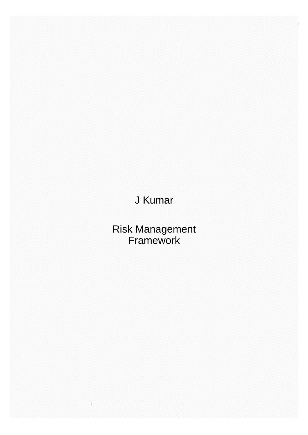# J Kumar

Risk Management Framework

*Page 1 of 24* For internal use of J. Kumar Infraprojects Limited Version 1.0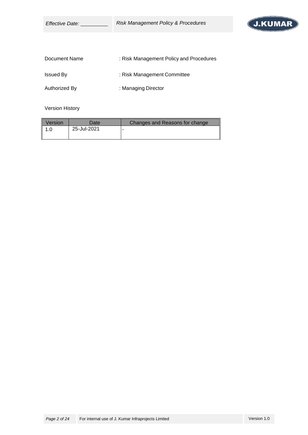| <i>Effective Date:</i> | <b>Risk Management Policy &amp; Procedures</b> |  |
|------------------------|------------------------------------------------|--|
|                        |                                                |  |
| Document Name          | : Risk Management Policy and Procedures        |  |
| <b>Issued By</b>       | : Risk Management Committee                    |  |
| Authorized By          | : Managing Director                            |  |

Version History

| Version | Date        | Changes and Reasons for change |
|---------|-------------|--------------------------------|
| 1.0     | 25-Jul-2021 |                                |
|         |             |                                |

J.KUMAR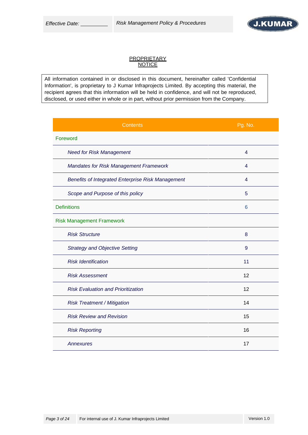

#### **PROPRIETARY NOTICE**

All information contained in or disclosed in this document, hereinafter called 'Confidential Information', is proprietary to J Kumar Infraprojects Limited. By accepting this material, the recipient agrees that this information will be held in confidence, and will not be reproduced, disclosed, or used either in whole or in part, without prior permission from the Company.

| <b>Contents</b>                                   | Pg. No.        |
|---------------------------------------------------|----------------|
| Foreword                                          |                |
| <b>Need for Risk Management</b>                   | $\overline{4}$ |
| <b>Mandates for Risk Management Framework</b>     | 4              |
| Benefits of Integrated Enterprise Risk Management | 4              |
| Scope and Purpose of this policy                  | 5              |
| <b>Definitions</b>                                | 6              |
| <b>Risk Management Framework</b>                  |                |
| <b>Risk Structure</b>                             | 8              |
| <b>Strategy and Objective Setting</b>             | 9              |
| <b>Risk Identification</b>                        | 11             |
| <b>Risk Assessment</b>                            | 12             |
| <b>Risk Evaluation and Prioritization</b>         | 12             |
| <b>Risk Treatment / Mitigation</b>                | 14             |
| <b>Risk Review and Revision</b>                   | 15             |
| <b>Risk Reporting</b>                             | 16             |
| Annexures                                         | 17             |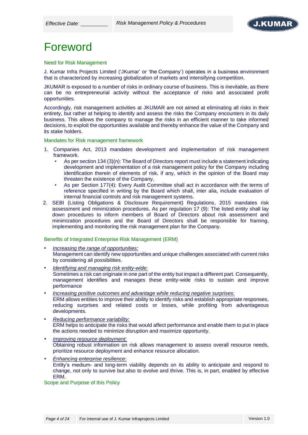

# Foreword

Need for Risk Management

J. Kumar Infra Projects Limited ('JKumar' or 'the Company') operates in a business environment that is characterized by increasing globalization of markets and intensifying competition.

JKUMAR is exposed to a number of risks in ordinary course of business. This is inevitable, as there can be no entrepreneurial activity without the acceptance of risks and associated profit opportunities.

Accordingly, risk management activities at JKUMAR are not aimed at eliminating all risks in their entirety, but rather at helping to identify and assess the risks the Company encounters in its daily business. This allows the company to manage the risks in an efficient manner to take informed decisions, to exploit the opportunities available and thereby enhance the value of the Company and its stake holders.

Mandates for Risk management framework

- 1. Companies Act, 2013 mandates development and implementation of risk management framework.
	- As per section 134 (3)(n): The Board of Directors report must include a statement indicating development and implementation of a risk management policy for the Company including identification therein of elements of risk, if any, which in the opinion of the Board may threaten the existence of the Company,
	- As per Section 177(4): Every Audit Committee shall act in accordance with the terms of reference specified in writing by the Board which shall, inter alia, include evaluation of internal financial controls and risk management systems.
- 2. SEBI (Listing Obligations & Disclosure Requirement) Regulations, 2015 mandates risk assessment and minimization procedures. As per regulation 17 (9): The listed entity shall lay down procedures to inform members of Board of Directors about risk assessment and minimization procedures and the Board of Directors shall be responsible for framing, implementing and monitoring the risk management plan for the Company.

Benefits of Integrated Enterprise Risk Management (ERM)

- *Increasing the range of opportunities:* Management can identify new opportunities and unique challenges associated with current risks by considering all possibilities.
- *Identifying and managing risk entity-wide:* Sometimes a risk can originate in one part of the entity but impact a different part. Consequently, management identifies and manages these entity-wide risks to sustain and improve performance
- *Increasing positive outcomes and advantage while reducing negative surprises:* ERM allows entities to improve their ability to identify risks and establish appropriate responses, reducing surprises and related costs or losses, while profiting from advantageous developments.
- *Reducing performance variability:* ERM helps to anticipate the risks that would affect performance and enable them to put in place the actions needed to minimize disruption and maximize opportunity.
- *Improving resource deployment:* Obtaining robust information on risk allows management to assess overall resource needs, prioritize resource deployment and enhance resource allocation.
- *Enhancing enterprise resilience:* Entity's medium- and long-term viability depends on its ability to anticipate and respond to change, not only to survive but also to evolve and thrive. This is, in part, enabled by effective ERM.

Scope and Purpose of this Policy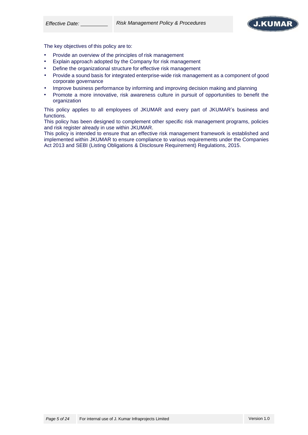

The key objectives of this policy are to:

- Provide an overview of the principles of risk management
- Explain approach adopted by the Company for risk management
- Define the organizational structure for effective risk management
- Provide a sound basis for integrated enterprise-wide risk management as a component of good corporate governance
- Improve business performance by informing and improving decision making and planning
- Promote a more innovative, risk awareness culture in pursuit of opportunities to benefit the organization

This policy applies to all employees of JKUMAR and every part of JKUMAR's business and functions.

This policy has been designed to complement other specific risk management programs, policies and risk register already in use within JKUMAR.

This policy is intended to ensure that an effective risk management framework is established and implemented within JKUMAR to ensure compliance to various requirements under the Companies Act 2013 and SEBI (Listing Obligations & Disclosure Requirement) Regulations, 2015.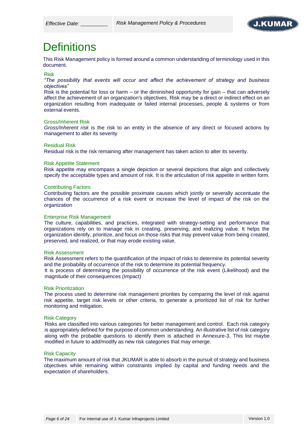

# **Definitions**

This Risk Management policy is formed around a common understanding of terminology used in this document.

#### Risk

*"The possibility that events will occur and affect the achievement of strategy and business objectives"*

Risk is the potential for loss or harm – or the diminished opportunity for gain – that can adversely affect the achievement of an organization's objectives. Risk may be a direct or indirect effect on an organization resulting from inadequate or failed internal processes, people & systems or from external events.

#### Gross/Inherent Risk

*Gross/Inherent risk* is the risk to an entity in the absence of any direct or focused actions by management to alter its severity

#### Residual Risk

Residual risk is the risk remaining after management has taken action to alter its severity.

#### Risk Appetite Statement

Risk appetite may encompass a single depiction or several depictions that align and collectively specify the acceptable types and amount of risk. It is the articulation of risk appetite in written form.

#### Contributing Factors

Contributing factors are the possible proximate causes which jointly or severally accentuate the chances of the occurrence of a risk event or increase the level of impact of the risk on the organization

#### Enterprise Risk Management

The culture, capabilities, and practices, integrated with strategy-setting and performance that organizations rely on to manage risk in creating, preserving, and realizing value. It helps the organization identify, prioritize, and focus on those risks that may prevent value from being created, preserved, and realized, or that may erode existing value.

#### Risk Assessment

Risk Assessment refers to the quantification of the impact of risks to determine its potential severity and the probability of occurrence of the risk to determine its potential frequency.

It is process of determining the possibility of occurrence of the risk event (Likelihood) and the magnitude of their consequences (Impact)

#### Risk Prioritization

The process used to determine risk management priorities by comparing the level of risk against risk appetite, target risk levels or other criteria, to generate a prioritized list of risk for further monitoring and mitigation.

#### Risk Category

Risks are classified into various categories for better management and control. Each risk category is appropriately defined for the purpose of common understanding. An illustrative list of risk category along with the probable questions to identify them is attached in Annexure-3. This list maybe modified in future to add/modify as new risk categories that may emerge.

#### Risk Capacity

The maximum amount of risk that JKUMAR is able to absorb in the pursuit of strategy and business objectives while remaining within constraints implied by capital and funding needs and the expectation of shareholders.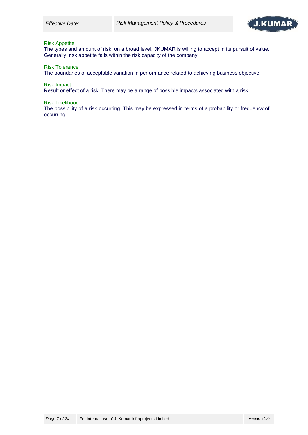

#### Risk Appetite

The types and amount of risk, on a broad level, JKUMAR is willing to accept in its pursuit of value. Generally, risk appetite falls within the risk capacity of the company

Risk Tolerance

The boundaries of acceptable variation in performance related to achieving business objective

Risk Impact

Result or effect of a risk. There may be a range of possible impacts associated with a risk.

Risk Likelihood

The possibility of a risk occurring. This may be expressed in terms of a probability or frequency of occurring.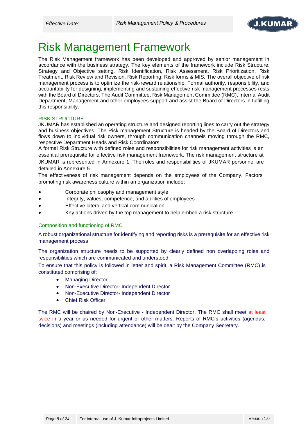

# Risk Management Framework

The Risk Management framework has been developed and approved by senior management in accordance with the business strategy. The key elements of the framework include Risk Structure, Strategy and Objective setting, Risk Identification, Risk Assessment, Risk Prioritization, Risk Treatment, Risk Review and Revision, Risk Reporting, Risk forms & MIS. The overall objective of risk management process is to optimize the risk-reward relationship. Formal authority, responsibility, and accountability for designing, implementing and sustaining effective risk management processes rests with the Board of Directors. The Audit Committee, Risk Management Committee (RMC), Internal Audit Department, Management and other employees support and assist the Board of Directors in fulfilling this responsibility.

## RISK STRUCTURE

JKUMAR has established an operating structure and designed reporting lines to carry out the strategy and business objectives. The Risk management Structure is headed by the Board of Directors and flows down to individual risk owners, through communication channels moving through the RMC, respective Department Heads and Risk Coordinators.

A formal Risk Structure with defined roles and responsibilities for risk management activities is an essential prerequisite for effective risk management framework. The risk management structure at JKUMAR is represented in Annexure 1. The roles and responsibilities of JKUMAR personnel are detailed in Annexure 5.

The effectiveness of risk management depends on the employees of the Company. Factors promoting risk awareness culture within an organization include:

- Corporate philosophy and management style
- Integrity, values, competence, and abilities of employees
- Effective lateral and vertical communication
- Key actions driven by the top management to help embed a risk structure

### Composition and functioning of RMC

A robust organizational structure for identifying and reporting risks is a prerequisite for an effective risk management process

The organization structure needs to be supported by clearly defined non overlapping roles and responsibilities which are communicated and understood.

To ensure that this policy is followed in letter and spirit, a Risk Management Committee (RMC) is constituted comprising of:

- Managing Director
- Non-Executive Director- Independent Director
- Non-Executive Director- Independent Director
- **Chief Risk Officer**

The RMC will be chaired by Non-Executive - Independent Director. The RMC shall meet at least twice in a year or as needed for urgent or other matters. Reports of RMC's activities (agendas, decisions) and meetings (including attendance) will be dealt by the Company Secretary.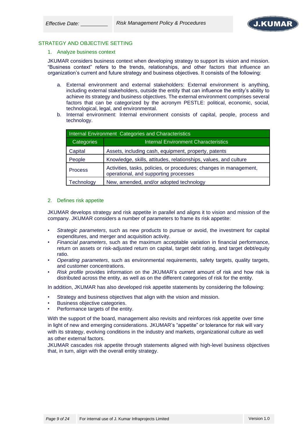

### STRATEGY AND OBJECTIVE SETTING

1. Analyze business context

JKUMAR considers business context when developing strategy to support its vision and mission. "Business context" refers to the trends, relationships, and other factors that influence an organization's current and future strategy and business objectives. It consists of the following:

- a. External environment and external stakeholders: External environment is anything, including external stakeholders, outside the entity that can influence the entity's ability to achieve its strategy and business objectives. The external environment comprises several factors that can be categorized by the acronym PESTLE: political, economic, social, technological, legal, and environmental.
- b. Internal environment: Internal environment consists of capital, people, process and technology.

| Internal Environment Categories and Characteristics |                                                                                                             |  |  |  |
|-----------------------------------------------------|-------------------------------------------------------------------------------------------------------------|--|--|--|
| Categories                                          | <b>Internal Environment Characteristics</b>                                                                 |  |  |  |
| Capital                                             | Assets, including cash, equipment, property, patents                                                        |  |  |  |
| People                                              | Knowledge, skills, attitudes, relationships, values, and culture                                            |  |  |  |
| <b>Process</b>                                      | Activities, tasks, policies, or procedures; changes in management,<br>operational, and supporting processes |  |  |  |
| Technology                                          | New, amended, and/or adopted technology                                                                     |  |  |  |

#### 2. Defines risk appetite

JKUMAR develops strategy and risk appetite in parallel and aligns it to vision and mission of the company. JKUMAR considers a number of parameters to frame its risk appetite:

- *Strategic parameters*, such as new products to pursue or avoid, the investment for capital expenditures, and merger and acquisition activity.
- *Financial parameters*, such as the maximum acceptable variation in financial performance, return on assets or risk-adjusted return on capital, target debt rating, and target debt/equity ratio.
- *Operating parameters*, such as environmental requirements, safety targets, quality targets, and customer concentrations.
- *Risk profile* provides information on the JKUMAR's current amount of risk and how risk is distributed across the entity, as well as on the different categories of risk for the entity.

In addition, JKUMAR has also developed risk appetite statements by considering the following:

- Strategy and business objectives that align with the vision and mission.
- Business objective categories.
- Performance targets of the entity.

With the support of the board, management also revisits and reinforces risk appetite over time in light of new and emerging considerations. JKUMAR's "appetite" or tolerance for risk will vary with its strategy, evolving conditions in the industry and markets, organizational culture as well as other external factors.

JKUMAR cascades risk appetite through statements aligned with high-level business objectives that, in turn, align with the overall entity strategy.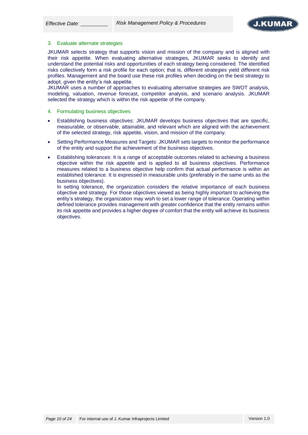

#### 3. Evaluate alternate strategies

JKUMAR selects strategy that supports vision and mission of the company and is aligned with their risk appetite. When evaluating alternative strategies, JKUMAR seeks to identify and understand the potential risks and opportunities of each strategy being considered. The identified risks collectively form a risk profile for each option; that is, different strategies yield different risk profiles. Management and the board use these risk profiles when deciding on the best strategy to adopt, given the entity's risk appetite.

JKUMAR uses a number of approaches to evaluating alternative strategies are SWOT analysis, modeling, valuation, revenue forecast, competitor analysis, and scenario analysis. JKUMAR selected the strategy which is within the risk appetite of the company.

- 4. Formulating business objectives
- Establishing business objectives: JKUMAR develops business objectives that are specific, measurable, or observable, attainable, and relevant which are aligned with the achievement of the selected strategy, risk appetite, vision, and mission of the company.
- Setting Performance Measures and Targets: JKUMAR sets targets to monitor the performance of the entity and support the achievement of the business objectives.
- Establishing tolerances: It is a range of acceptable outcomes related to achieving a business objective within the risk appetite and is applied to all business objectives. Performance measures related to a business objective help confirm that actual performance is within an established tolerance. It is expressed in measurable units (preferably in the same units as the business objectives).

In setting tolerance, the organization considers the relative importance of each business objective and strategy. For those objectives viewed as being highly important to achieving the entity's strategy, the organization may wish to set a lower range of tolerance. Operating within defined tolerance provides management with greater confidence that the entity remains within its risk appetite and provides a higher degree of comfort that the entity will achieve its business objectives.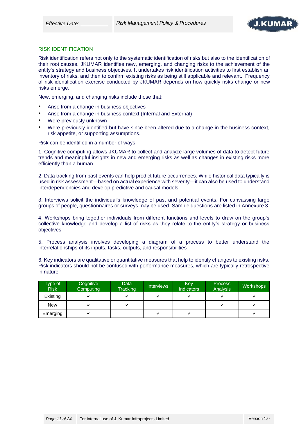

#### RISK IDENTIFICATION

Risk identification refers not only to the systematic identification of risks but also to the identification of their root causes. JKUMAR identifies new, emerging, and changing risks to the achievement of the entity's strategy and business objectives. It undertakes risk identification activities to first establish an inventory of risks, and then to confirm existing risks as being still applicable and relevant. Frequency of risk identification exercise conducted by JKUMAR depends on how quickly risks change or new risks emerge.

New, emerging, and changing risks include those that:

- Arise from a change in business objectives
- Arise from a change in business context (Internal and External)
- Were previously unknown
- Were previously identified but have since been altered due to a change in the business context, risk appetite, or supporting assumptions.

Risk can be identified in a number of ways:

1. Cognitive computing allows JKUMAR to collect and analyze large volumes of data to detect future trends and meaningful insights in new and emerging risks as well as changes in existing risks more efficiently than a human.

2. Data tracking from past events can help predict future occurrences. While historical data typically is used in risk assessment—based on actual experience with severity—it can also be used to understand interdependencies and develop predictive and causal models

3. Interviews solicit the individual's knowledge of past and potential events. For canvassing large groups of people, questionnaires or surveys may be used. Sample questions are listed in Annexure 3.

4. Workshops bring together individuals from different functions and levels to draw on the group's collective knowledge and develop a list of risks as they relate to the entity's strategy or business objectives

5. Process analysis involves developing a diagram of a process to better understand the interrelationships of its inputs, tasks, outputs, and responsibilities

6. Key indicators are qualitative or quantitative measures that help to identify changes to existing risks. Risk indicators should not be confused with performance measures, which are typically retrospective in nature

| Type of<br><b>Risk</b> | Cognitive<br>Computing | Data<br>Tracking | <b>Interviews</b> | Key<br><b>Indicators</b> | Process<br><b>Analysis</b> | <b>Workshops</b> |
|------------------------|------------------------|------------------|-------------------|--------------------------|----------------------------|------------------|
| Existing               |                        | ✔                | ✓                 | ✓                        |                            | ✔                |
| <b>New</b>             |                        | ✔                |                   |                          |                            | ◡                |
| Emerging               |                        |                  | ✓                 | v                        |                            | ◡                |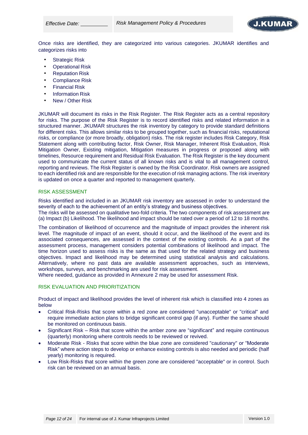

Once risks are identified, they are categorized into various categories. JKUMAR identifies and categorizes risks into

- **Strategic Risk**
- **Operational Risk**
- **Reputation Risk**
- Compliance Risk
- Financial Risk
- **Information Risk**
- New / Other Risk

JKUMAR will document its risks in the Risk Register. The Risk Register acts as a central repository for risks. The purpose of the Risk Register is to record identified risks and related information in a structured manner. JKUMAR structures the risk inventory by category to provide standard definitions for different risks. This allows similar risks to be grouped together, such as financial risks, reputational risks, or compliance (or more broadly, obligation) risks. The risk register includes Risk Category, Risk Statement along with contributing factor, Risk Owner, Risk Manager, Inherent Risk Evaluation, Risk Mitigation Owner, Existing mitigation, Mitigation measures in progress or proposed along with timelines, Resource requirement and Residual Risk Evaluation. The Risk Register is the key document used to communicate the current status of all known risks and is vital to all management control, reporting and reviews. The Risk Register is owned by the Risk Coordinator. Risk owners are assigned to each identified risk and are responsible for the execution of risk managing actions. The risk inventory is updated on once a quarter and reported to management quarterly.

#### RISK ASSESSMENT

Risks identified and included in an JKUMAR risk inventory are assessed in order to understand the severity of each to the achievement of an entity's strategy and business objectives.

The risks will be assessed on qualitative two-fold criteria. The two components of risk assessment are (a) Impact (b) Likelihood. The likelihood and impact should be rated over a period of 12 to 18 months.

The combination of likelihood of occurrence and the magnitude of impact provides the inherent risk level. The magnitude of impact of an event, should it occur, and the likelihood of the event and its associated consequences, are assessed in the context of the existing controls. As a part of the assessment process, management considers potential combinations of likelihood and impact. The time horizon used to assess risks is the same as that used for the related strategy and business objectives. Impact and likelihood may be determined using statistical analysis and calculations. Alternatively, where no past data are available assessment approaches, such as interviews, workshops, surveys, and benchmarking are used for risk assessment.

Where needed, guidance as provided in Annexure 2 may be used for assessment Risk.

#### RISK EVALUATION AND PRIORITIZATION

Product of impact and likelihood provides the level of inherent risk which is classified into 4 zones as below

- Critical Risk-Risks that score within a red zone are considered "unacceptable" or "critical" and require immediate action plans to bridge significant control gap (if any). Further the same should be monitored on continuous basis.
- Significant Risk Risk that score within the amber zone are "significant" and require continuous (quarterly) monitoring where controls needs to be reviewed or revived.
- Moderate Risk Risks that score within the blue zone are considered "cautionary" or "Moderate Risk" where action steps to develop or enhance existing controls is also needed and periodic (half yearly) monitoring is required.
- Low Risk-Risks that score within the green zone are considered "acceptable" or in control. Such risk can be reviewed on an annual basis.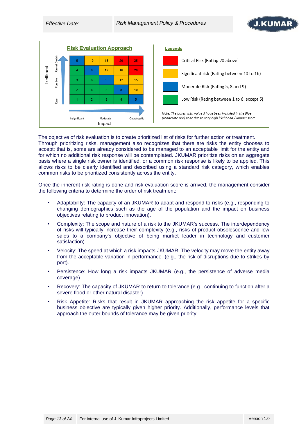



The objective of risk evaluation is to create prioritized list of risks for further action or treatment. Through prioritizing risks, management also recognizes that there are risks the entity chooses to accept; that is, some are already considered to be managed to an acceptable limit for the entity and for which no additional risk response will be contemplated. JKUMAR prioritize risks on an aggregate basis where a single risk owner is identified, or a common risk response is likely to be applied. This allows risks to be clearly identified and described using a standard risk category, which enables common risks to be prioritized consistently across the entity.

Once the inherent risk rating is done and risk evaluation score is arrived, the management consider the following criteria to determine the order of risk treatment:

- Adaptability: The capacity of an JKUMAR to adapt and respond to risks (e.g., responding to changing demographics such as the age of the population and the impact on business objectives relating to product innovation).
- Complexity: The scope and nature of a risk to the JKUMAR's success. The interdependency of risks will typically increase their complexity (e.g., risks of product obsolescence and low sales to a company's objective of being market leader in technology and customer satisfaction).
- Velocity: The speed at which a risk impacts JKUMAR. The velocity may move the entity away from the acceptable variation in performance. (e.g., the risk of disruptions due to strikes by port).
- Persistence: How long a risk impacts JKUMAR (e.g., the persistence of adverse media coverage)
- Recovery: The capacity of JKUMAR to return to tolerance (e.g., continuing to function after a severe flood or other natural disaster).
- Risk Appetite: Risks that result in JKUMAR approaching the risk appetite for a specific business objective are typically given higher priority. Additionally, performance levels that approach the outer bounds of tolerance may be given priority.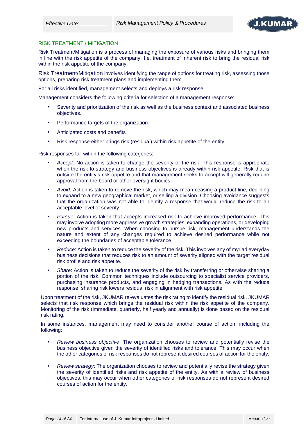

#### RISK TREATMENT / MITIGATION

Risk Treatment/Mitigation is a process of managing the exposure of various risks and bringing them in line with the risk appetite of the company. I.e. treatment of inherent risk to bring the residual risk within the risk appetite of the company.

Risk Treatment/Mitigation involves identifying the range of options for treating risk, assessing those options, preparing risk treatment plans and implementing them

For all risks identified, management selects and deploys a risk response.

Management considers the following criteria for selection of a management response:

- Severity and prioritization of the risk as well as the business context and associated business objectives.
- Performance targets of the organization.
- Anticipated costs and benefits
- Risk response either brings risk (residual) within risk appetite of the entity.

Risk responses fall within the following categories:

- *Accept:* No action is taken to change the severity of the risk. This response is appropriate when the risk to strategy and business objectives is already within risk appetite. Risk that is outside the entity's risk appetite and that management seeks to accept will generally require approval from the board or other oversight bodies.
- *Avoid:* Action is taken to remove the risk, which may mean ceasing a product line, declining to expand to a new geographical market, or selling a division. Choosing avoidance suggests that the organization was not able to identify a response that would reduce the risk to an acceptable level of severity.
- *Pursue*: Action is taken that accepts increased risk to achieve improved performance. This may involve adopting more aggressive growth strategies, expanding operations, or developing new products and services. When choosing to pursue risk, management understands the nature and extent of any changes required to achieve desired performance while not exceeding the boundaries of acceptable tolerance.
- *Reduce*: Action is taken to reduce the severity of the risk. This involves any of myriad everyday business decisions that reduces risk to an amount of severity aligned with the target residual risk profile and risk appetite.
- *Share*: Action is taken to reduce the severity of the risk by transferring or otherwise sharing a portion of the risk. Common techniques include outsourcing to specialist service providers, purchasing insurance products, and engaging in hedging transactions. As with the reduce response, sharing risk lowers residual risk in alignment with risk appetite

Upon treatment of the risk, JKUMAR re-evaluates the risk rating to identify the residual risk. JKUMAR selects that risk response which brings the residual risk within the risk appetite of the company. Monitoring of the risk (immediate, quarterly, half yearly and annually) is done based on the residual risk rating,

In some instances, management may need to consider another course of action, including the following:

- *Review business objective*: The organization chooses to review and potentially revise the business objective given the severity of identified risks and tolerance. This may occur when the other categories of risk responses do not represent desired courses of action for the entity.
- *Review strategy*: The organization chooses to review and potentially revise the strategy given the severity of identified risks and risk appetite of the entity. As with a review of business objectives, this may occur when other categories of risk responses do not represent desired courses of action for the entity.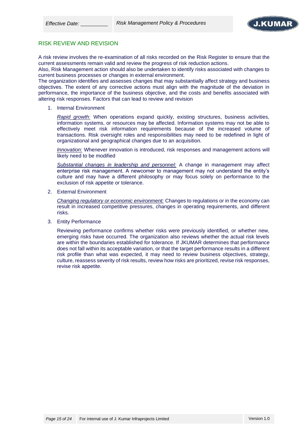

## RISK REVIEW AND REVISION

A risk review involves the re-examination of all risks recorded on the Risk Register to ensure that the current assessments remain valid and review the progress of risk reduction actions.

Also, Risk Management action should also be undertaken to identify risks associated with changes to current business processes or changes in external environment.

The organization identifies and assesses changes that may substantially affect strategy and business objectives. The extent of any corrective actions must align with the magnitude of the deviation in performance, the importance of the business objective, and the costs and benefits associated with altering risk responses. Factors that can lead to review and revision

1. Internal Environment

*Rapid growth:* When operations expand quickly, existing structures, business activities, information systems, or resources may be affected. Information systems may not be able to effectively meet risk information requirements because of the increased volume of transactions. Risk oversight roles and responsibilities may need to be redefined in light of organizational and geographical changes due to an acquisition.

*Innovation:* Whenever innovation is introduced, risk responses and management actions will likely need to be modified

*Substantial changes in leadership and personnel:* A change in management may affect enterprise risk management. A newcomer to management may not understand the entity's culture and may have a different philosophy or may focus solely on performance to the exclusion of risk appetite or tolerance.

2. External Environment

*Changing regulatory or economic environment:* Changes to regulations or in the economy can result in increased competitive pressures, changes in operating requirements, and different risks.

3. Entity Performance

Reviewing performance confirms whether risks were previously identified, or whether new, emerging risks have occurred. The organization also reviews whether the actual risk levels are within the boundaries established for tolerance. If JKUMAR determines that performance does not fall within its acceptable variation, or that the target performance results in a different risk profile than what was expected, it may need to review business objectives, strategy, culture, reassess severity of risk results, review how risks are prioritized, revise risk responses, revise risk appetite.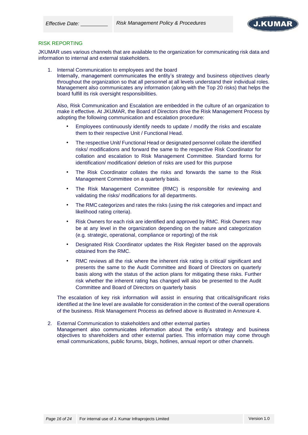

#### RISK REPORTING

JKUMAR uses various channels that are available to the organization for communicating risk data and information to internal and external stakeholders.

1. Internal Communication to employees and the board

Internally, management communicates the entity's strategy and business objectives clearly throughout the organization so that all personnel at all levels understand their individual roles. Management also communicates any information (along with the Top 20 risks) that helps the board fulfill its risk oversight responsibilities.

Also, Risk Communication and Escalation are embedded in the culture of an organization to make it effective. At JKUMAR, the Board of Directors drive the Risk Management Process by adopting the following communication and escalation procedure:

- Employees continuously identify needs to update / modify the risks and escalate them to their respective Unit / Functional Head.
- The respective Unit/ Functional Head or designated personnel collate the identified risks/ modifications and forward the same to the respective Risk Coordinator for collation and escalation to Risk Management Committee. Standard forms for identification/ modification/ deletion of risks are used for this purpose
- The Risk Coordinator collates the risks and forwards the same to the Risk Management Committee on a quarterly basis.
- The Risk Management Committee (RMC) is responsible for reviewing and validating the risks/ modifications for all departments.
- The RMC categorizes and rates the risks (using the risk categories and impact and likelihood rating criteria).
- Risk Owners for each risk are identified and approved by RMC. Risk Owners may be at any level in the organization depending on the nature and categorization (e.g. strategic, operational, compliance or reporting) of the risk
- Designated Risk Coordinator updates the Risk Register based on the approvals obtained from the RMC.
- RMC reviews all the risk where the inherent risk rating is critical/ significant and presents the same to the Audit Committee and Board of Directors on quarterly basis along with the status of the action plans for mitigating these risks. Further risk whether the inherent rating has changed will also be presented to the Audit Committee and Board of Directors on quarterly basis

The escalation of key risk information will assist in ensuring that critical/significant risks identified at the line level are available for consideration in the context of the overall operations of the business. Risk Management Process as defined above is illustrated in Annexure 4.

2. External Communication to stakeholders and other external parties Management also communicates information about the entity's strategy and business objectives to shareholders and other external parties. This information may come through email communications, public forums, blogs, hotlines, annual report or other channels.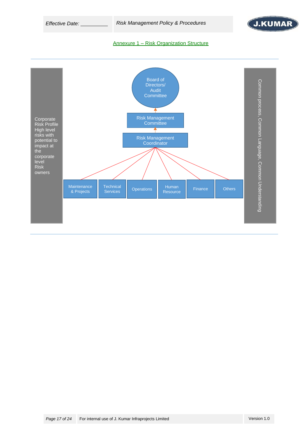*Effective Date: Risk Management Policy & Procedures*



#### Annexure 1 – Risk Organization Structure

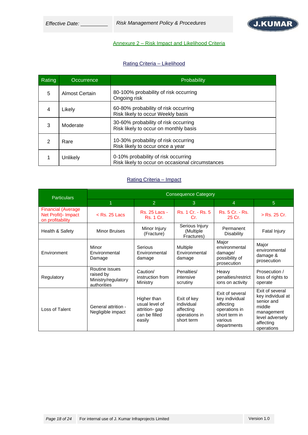*Effective Date: Risk Management Policy & Procedures*



# Annexure 2 – Risk Impact and Likelihood Criteria

## Rating Criteria – Likelihood

| Rating | Occurrence     | Probability                                                                             |
|--------|----------------|-----------------------------------------------------------------------------------------|
| 5      | Almost Certain | 80-100% probability of risk occurring<br>Ongoing risk                                   |
| 4      | Likely         | 60-80% probability of risk occurring<br>Risk likely to occur Weekly basis               |
| 3      | Moderate       | 30-60% probability of risk occurring<br>Risk likely to occur on monthly basis           |
| 2      | Rare           | 10-30% probability of risk occurring<br>Risk likely to occur once a year                |
|        | Unlikely       | 0-10% probability of risk occurring<br>Risk likely to occur on occasional circumstances |

# Rating Criteria – Impact

| <b>Particulars</b>                                                     | <b>Consequence Category</b>                                       |                                          |                                                                                                                  |                                                                                                            |                                                                                                                          |  |  |  |  |
|------------------------------------------------------------------------|-------------------------------------------------------------------|------------------------------------------|------------------------------------------------------------------------------------------------------------------|------------------------------------------------------------------------------------------------------------|--------------------------------------------------------------------------------------------------------------------------|--|--|--|--|
|                                                                        | $\overline{1}$                                                    | 2                                        | 3                                                                                                                | $\overline{4}$                                                                                             | 5 <sup>5</sup>                                                                                                           |  |  |  |  |
| <b>Financial (Average)</b><br>Net Profit) - Impact<br>on profitability | $<$ Rs. 25 Lacs                                                   | Rs. 25 Lacs -<br><b>Rs. 1 Cr.</b>        | Rs. 1 Cr. - Rs. 5<br>Cr.                                                                                         | Rs. 5 Cr. - Rs.<br>25 Cr.                                                                                  | > Rs. 25 Cr.                                                                                                             |  |  |  |  |
| Health & Safety                                                        | <b>Minor Bruises</b>                                              | Minor Injury<br>(Fracture)               | Serious Injury<br>(Multiple<br>Fractures)                                                                        | Permanent<br><b>Disability</b>                                                                             | Fatal Injury                                                                                                             |  |  |  |  |
| Environment                                                            | Minor<br>Environmental<br>Damage                                  | Serious<br>Environmental<br>damage       | Major<br><b>Multiple</b><br>environmental<br>Environmental<br>damage/<br>possibility of<br>damage<br>prosecution |                                                                                                            | Major<br>environmental<br>damage &<br>prosecution                                                                        |  |  |  |  |
| Regulatory                                                             | Routine issues<br>raised by<br>Ministry/regulatory<br>authorities | Caution/<br>instruction from<br>Ministry | Penalties/<br>intensive<br>scrutiny                                                                              | Heavy<br>penalties/restrict<br>ions on activity                                                            | Prosecution /<br>loss of rights to<br>operate                                                                            |  |  |  |  |
| Loss of Talent                                                         | General attrition -<br>Negligible impact                          |                                          | Exit of key<br>individual<br>affecting<br>operations in<br>short term                                            | Exit of several<br>key individual<br>affecting<br>operations in<br>short term in<br>various<br>departments | Exit of several<br>key individual at<br>senior and<br>middle<br>management<br>level adversely<br>affecting<br>operations |  |  |  |  |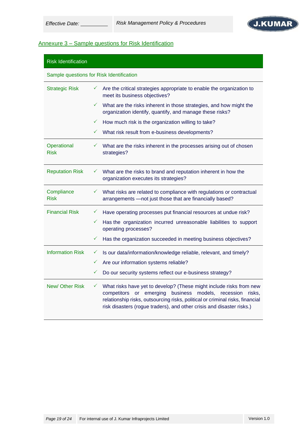

# Annexure 3 – Sample questions for Risk Identification

| <b>Risk Identification</b> |                                                                                                                                                                                                                                                                                                               |
|----------------------------|---------------------------------------------------------------------------------------------------------------------------------------------------------------------------------------------------------------------------------------------------------------------------------------------------------------|
|                            | Sample questions for Risk Identification                                                                                                                                                                                                                                                                      |
| <b>Strategic Risk</b>      | Are the critical strategies appropriate to enable the organization to<br>✓<br>meet its business objectives?                                                                                                                                                                                                   |
|                            | ✓<br>What are the risks inherent in those strategies, and how might the<br>organization identify, quantify, and manage these risks?                                                                                                                                                                           |
|                            | $\checkmark$<br>How much risk is the organization willing to take?                                                                                                                                                                                                                                            |
|                            | What risk result from e-business developments?<br>$\checkmark$                                                                                                                                                                                                                                                |
| Operational<br><b>Risk</b> | $\checkmark$<br>What are the risks inherent in the processes arising out of chosen<br>strategies?                                                                                                                                                                                                             |
| <b>Reputation Risk</b>     | What are the risks to brand and reputation inherent in how the<br>✓<br>organization executes its strategies?                                                                                                                                                                                                  |
| Compliance<br><b>Risk</b>  | What risks are related to compliance with regulations or contractual<br>$\checkmark$<br>arrangements - not just those that are financially based?                                                                                                                                                             |
| <b>Financial Risk</b>      | Have operating processes put financial resources at undue risk?<br>$\checkmark$                                                                                                                                                                                                                               |
|                            | Has the organization incurred unreasonable liabilities to support<br>$\checkmark$<br>operating processes?                                                                                                                                                                                                     |
|                            | ✓<br>Has the organization succeeded in meeting business objectives?                                                                                                                                                                                                                                           |
| <b>Information Risk</b>    | Is our data/information/knowledge reliable, relevant, and timely?<br>$\checkmark$                                                                                                                                                                                                                             |
|                            | ✓<br>Are our information systems reliable?                                                                                                                                                                                                                                                                    |
|                            | ✓<br>Do our security systems reflect our e-business strategy?                                                                                                                                                                                                                                                 |
| New/Other Risk             | What risks have yet to develop? (These might include risks from new<br>$\checkmark$<br>competitors or emerging business models, recession<br>risks.<br>relationship risks, outsourcing risks, political or criminal risks, financial<br>risk disasters (rogue traders), and other crisis and disaster risks.) |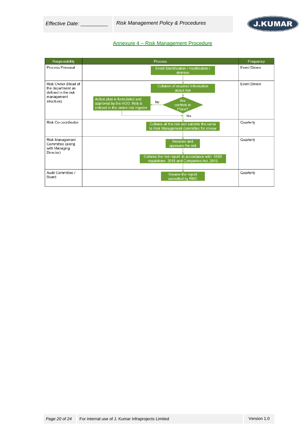*Effective Date: Risk Management Policy & Procedures*



### Annexure 4 – Risk Management Procedure

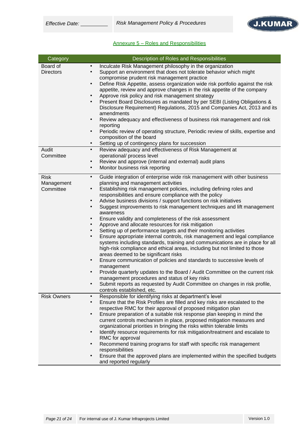# Annexure 5 – Roles and Responsibilities

| Category                               | Description of Roles and Responsibilities                                                                                                                                                                                                                                                                                                                                                                                                                                                                                                                                                                                                                                                                                                                                                                                                                                                                                                                                                                                                                                                                                                                                                                                                                                                                                                        |
|----------------------------------------|--------------------------------------------------------------------------------------------------------------------------------------------------------------------------------------------------------------------------------------------------------------------------------------------------------------------------------------------------------------------------------------------------------------------------------------------------------------------------------------------------------------------------------------------------------------------------------------------------------------------------------------------------------------------------------------------------------------------------------------------------------------------------------------------------------------------------------------------------------------------------------------------------------------------------------------------------------------------------------------------------------------------------------------------------------------------------------------------------------------------------------------------------------------------------------------------------------------------------------------------------------------------------------------------------------------------------------------------------|
| Board of<br><b>Directors</b>           | Inculcate Risk Management philosophy in the organization<br>$\bullet$<br>Support an environment that does not tolerate behavior which might<br>$\bullet$<br>compromise prudent risk management practice<br>Define Risk Appetite, assess organization wide risk portfolio against the risk<br>$\bullet$<br>appetite, review and approve changes in the risk appetite of the company<br>Approve risk policy and risk management strategy<br>$\bullet$<br>Present Board Disclosures as mandated by per SEBI (Listing Obligations &<br>$\bullet$<br>Disclosure Requirement) Regulations, 2015 and Companies Act, 2013 and its<br>amendments<br>Review adequacy and effectiveness of business risk management and risk<br>$\bullet$<br>reporting<br>Periodic review of operating structure, Periodic review of skills, expertise and<br>$\bullet$<br>composition of the board<br>Setting up of contingency plans for succession<br>$\bullet$                                                                                                                                                                                                                                                                                                                                                                                                          |
| Audit<br>Committee                     | Review adequacy and effectiveness of Risk Management at<br>$\bullet$<br>operational/ process level<br>Review and approve (internal and external) audit plans<br>$\bullet$<br>Monitor business risk reporting<br>$\bullet$                                                                                                                                                                                                                                                                                                                                                                                                                                                                                                                                                                                                                                                                                                                                                                                                                                                                                                                                                                                                                                                                                                                        |
| <b>Risk</b><br>Management<br>Committee | $\bullet$<br>Guide integration of enterprise wide risk management with other business<br>planning and management activities<br>Establishing risk management policies, including defining roles and<br>$\bullet$<br>responsibilities and ensure compliance with the policy<br>Advise business divisions / support functions on risk initiatives<br>$\bullet$<br>Suggest improvements to risk management techniques and lift management<br>$\bullet$<br>awareness<br>Ensure validity and completeness of the risk assessment<br>$\bullet$<br>Approve and allocate resources for risk mitigation<br>Setting up of performance targets and their monitoring activities<br>$\bullet$<br>Ensure appropriate internal controls, risk management and legal compliance<br>$\bullet$<br>systems including standards, training and communications are in place for all<br>high-risk compliance and ethical areas, including but not limited to those<br>areas deemed to be significant risks<br>Ensure communication of policies and standards to successive levels of<br>$\bullet$<br>management<br>Provide quarterly updates to the Board / Audit Committee on the current risk<br>$\bullet$<br>management procedures and status of key risks<br>Submit reports as requested by Audit Committee on changes in risk profile,<br>controls established, etc. |
| <b>Risk Owners</b>                     | Responsible for identifying risks at department's level<br>$\bullet$<br>Ensure that the Risk Profiles are filled and key risks are escalated to the<br>$\bullet$<br>respective RMC for their approval of proposed mitigation plan<br>Ensure preparation of a suitable risk response plan keeping in mind the<br>$\bullet$<br>current controls mechanism in place, proposed mitigation measures and<br>organizational priorities in bringing the risks within tolerable limits<br>Identify resource requirements for risk mitigation/treatment and escalate to<br>$\bullet$<br>RMC for approval<br>Recommend training programs for staff with specific risk management<br>$\bullet$<br>responsibilities<br>Ensure that the approved plans are implemented within the specified budgets<br>$\bullet$<br>and reported regularly                                                                                                                                                                                                                                                                                                                                                                                                                                                                                                                     |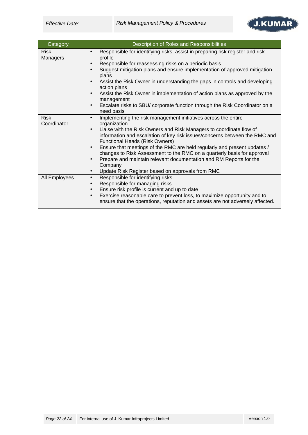

| Category                   | Description of Roles and Responsibilities                                                                                                                                                                                                                                                                                                                                                                                                                                                                                                                                                                                                 |
|----------------------------|-------------------------------------------------------------------------------------------------------------------------------------------------------------------------------------------------------------------------------------------------------------------------------------------------------------------------------------------------------------------------------------------------------------------------------------------------------------------------------------------------------------------------------------------------------------------------------------------------------------------------------------------|
| <b>Risk</b><br>Managers    | Responsible for identifying risks, assist in preparing risk register and risk<br>$\bullet$<br>profile<br>Responsible for reassessing risks on a periodic basis<br>$\bullet$<br>Suggest mitigation plans and ensure implementation of approved mitigation<br>$\bullet$<br>plans<br>Assist the Risk Owner in understanding the gaps in controls and developing<br>$\bullet$<br>action plans<br>Assist the Risk Owner in implementation of action plans as approved by the<br>$\bullet$<br>management<br>Escalate risks to SBU/ corporate function through the Risk Coordinator on a<br>$\bullet$<br>need basis                              |
| <b>Risk</b><br>Coordinator | Implementing the risk management initiatives across the entire<br>$\bullet$<br>organization<br>Liaise with the Risk Owners and Risk Managers to coordinate flow of<br>$\bullet$<br>information and escalation of key risk issues/concerns between the RMC and<br><b>Functional Heads (Risk Owners)</b><br>Ensure that meetings of the RMC are held regularly and present updates /<br>$\bullet$<br>changes to Risk Assessment to the RMC on a quarterly basis for approval<br>Prepare and maintain relevant documentation and RM Reports for the<br>$\bullet$<br>Company<br>Update Risk Register based on approvals from RMC<br>$\bullet$ |
| All Employees              | Responsible for identifying risks<br>$\bullet$<br>Responsible for managing risks<br>$\bullet$<br>Ensure risk profile is current and up to date<br>$\bullet$<br>Exercise reasonable care to prevent loss, to maximize opportunity and to<br>$\bullet$<br>ensure that the operations, reputation and assets are not adversely affected.                                                                                                                                                                                                                                                                                                     |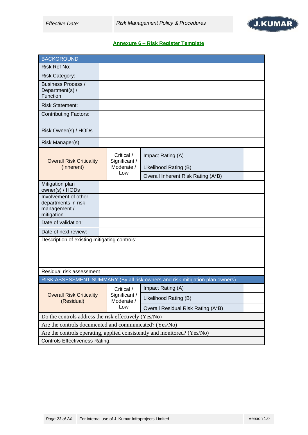

# **Annexure 6 – Risk Register Template**

| <b>BACKGROUND</b>                                                         |  |                             |                                                                              |  |  |
|---------------------------------------------------------------------------|--|-----------------------------|------------------------------------------------------------------------------|--|--|
| Risk Ref No:                                                              |  |                             |                                                                              |  |  |
| <b>Risk Category:</b>                                                     |  |                             |                                                                              |  |  |
| <b>Business Process /</b><br>Department(s) /<br>Function                  |  |                             |                                                                              |  |  |
| <b>Risk Statement:</b>                                                    |  |                             |                                                                              |  |  |
| <b>Contributing Factors:</b>                                              |  |                             |                                                                              |  |  |
| Risk Owner(s) / HODs                                                      |  |                             |                                                                              |  |  |
| Risk Manager(s)                                                           |  |                             |                                                                              |  |  |
| <b>Overall Risk Criticality</b>                                           |  | Critical /<br>Significant / | Impact Rating (A)                                                            |  |  |
| (Inherent)                                                                |  | Moderate /                  | Likelihood Rating (B)                                                        |  |  |
|                                                                           |  | Low                         | Overall Inherent Risk Rating (A*B)                                           |  |  |
| Mitigation plan<br>owner(s) / HODs                                        |  |                             |                                                                              |  |  |
| Involvement of other<br>departments in risk<br>management /<br>mitigation |  |                             |                                                                              |  |  |
| Date of validation:                                                       |  |                             |                                                                              |  |  |
| Date of next review:                                                      |  |                             |                                                                              |  |  |
| Description of existing mitigating controls:                              |  |                             |                                                                              |  |  |
| Residual risk assessment                                                  |  |                             |                                                                              |  |  |
|                                                                           |  |                             | RISK ASSESSMENT SUMMARY (By all risk owners and risk mitigation plan owners) |  |  |
|                                                                           |  | Critical /                  | Impact Rating (A)                                                            |  |  |
| <b>Overall Risk Criticality</b><br>(Residual)                             |  | Significant /<br>Moderate / | Likelihood Rating (B)                                                        |  |  |
|                                                                           |  | Low                         | Overall Residual Risk Rating (A*B)                                           |  |  |
| Do the controls address the risk effectively (Yes/No)                     |  |                             |                                                                              |  |  |
| Are the controls documented and communicated? (Yes/No)                    |  |                             |                                                                              |  |  |
| Are the controls operating, applied consistently and monitored? (Yes/No)  |  |                             |                                                                              |  |  |
| <b>Controls Effectiveness Rating:</b>                                     |  |                             |                                                                              |  |  |